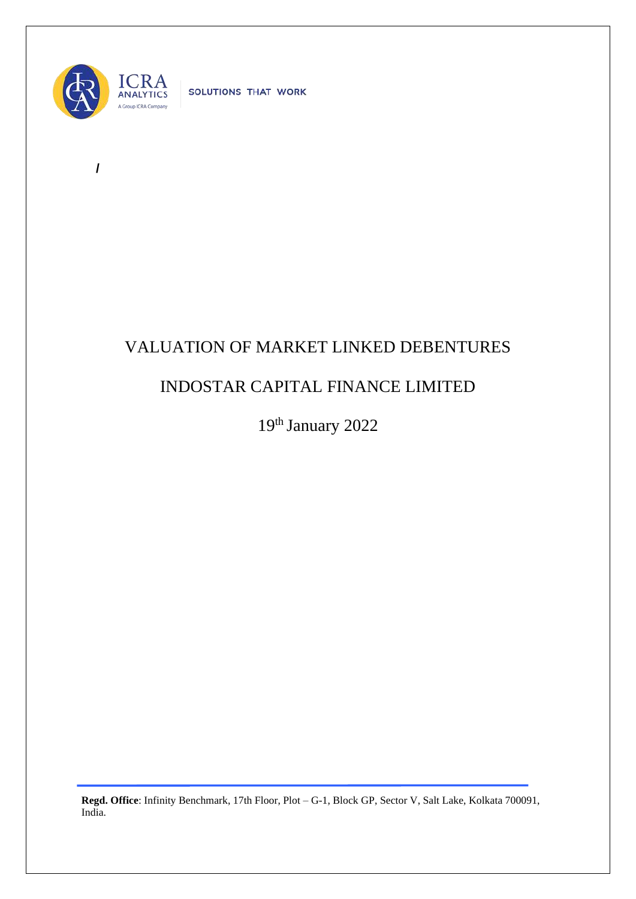

**/** 

SOLUTIONS THAT WORK

## VALUATION OF MARKET LINKED DEBENTURES

## INDOSTAR CAPITAL FINANCE LIMITED

19th January 2022

**Regd. Office**: Infinity Benchmark, 17th Floor, Plot – G-1, Block GP, Sector V, Salt Lake, Kolkata 700091, India.